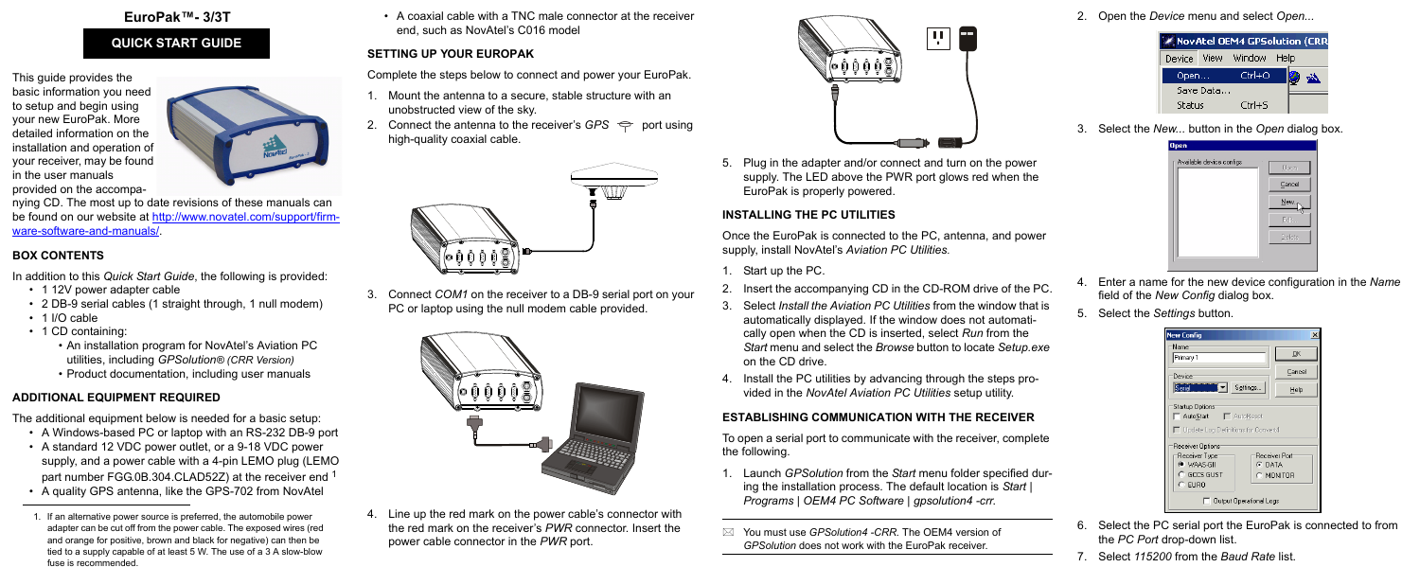#### **EuroPak™- 3/3T**

This guide provides the basic information you need to setup and begin using your new EuroPak. More detailed information on the [installation and operation of](http://www.novatel.com/Downloads/docupdates.html)  your receiver, may be found in the user manuals provided on the accompa-



[nying CD. The most up to date revisions of these manuals can](http://www.novatel.com/Downloads/docupdates.html)  [be found on our website at](http://www.novatel.com/Downloads/docupdates.html) [http://www.novatel.com/support/firm](http://www.novatel.com/support/firmware-software-and-manuals/)[ware-software-and-manuals/](http://www.novatel.com/support/firmware-software-and-manuals/)[.](http://www.novatel.ca/support/docupdates.htm)

# **BOX CONTENTS**

In addition to this *Quick Start Guide*, the following is provided:

- 1 12V power adapter cable
- 2 DB-9 serial cables (1 straight through, 1 null modem)
- 1 I/O cable
- 1 CD containing:
	- An installation program for NovAtel's Aviation PC utilities, including *GPSolution® (CRR Version)*
	- Product documentation, including user manuals

# **ADDITIONAL EQUIPMENT REQUIRED**

The additional equipment below is needed for a basic setup:

- A Windows-based PC or laptop with an RS-232 DB-9 port
- A standard 12 VDC power outlet, or a 9-18 VDC power supply, and a power cable with a 4-pin LEMO plug (LEMO part number FGG.0B.304.CLAD52Z) at the receiver end 1
- A quality GPS antenna, like the GPS-702 from NovAtel

• A coaxial cable with a TNC male connector at the receiver end, such as NovAtel's C016 model

### **SETTING UP YOUR EUROPAK**

Complete the steps below to connect and power your EuroPak.

To open a serial port to communicate with the receiver, complete the following.

- 1. Mount the antenna to a secure, stable structure with an unobstructed view of the sky.
- 2. Connect the antenna to the receiver's  $GPS \Leftrightarrow$  port using high-quality coaxial cable.



3. Connect *COM1* on the receiver to a DB-9 serial port on your PC or laptop using the null modem cable provided.



4. Line up the red mark on the power cable's connector with the red mark on the receiver's *PWR* connector. Insert the power cable connector in the *PWR* port.



5. Plug in the adapter and/or connect and turn on the power supply. The LED above the PWR port glows red when the EuroPak is properly powered.

# **INSTALLING THE PC UTILITIES**

Once the EuroPak is connected to the PC, antenna, and power supply, install NovAtel's *Aviation PC Utilities.*

- 1. Start up the PC.
- 2. Insert the accompanying CD in the CD-ROM drive of the PC.
- 3. Select *Install the Aviation PC Utilities* from the window that is automatically displayed. If the window does not automatically open when the CD is inserted, select *Run* from the *Start* menu and select the *Browse* button to locate *Setup.exe* on the CD drive.
- 4. Install the PC utilities by advancing through the steps provided in the *NovAtel Aviation PC Utilities* setup utility.

# **ESTABLISHING COMMUNICATION WITH THE RECEIVER**

1. Launch *GPSolution* from the *Start* menu folder specified during the installation process. The default location is *Start | Programs | OEM4 PC Software | gpsolution4 -crr*.

2. Open the *Device* menu and select *Open...*



3. Select the *New...* button in the *Open* dialog box.

| <b>Open</b>               |        |
|---------------------------|--------|
| Available device configs: | Open   |
|                           | Cancel |
|                           | New    |
|                           | Edit   |
|                           | Delete |
|                           |        |

- 4. Enter a name for the new device configuration in the *Name* field of the *New Config* dialog box.
- 5. Select the *Settings* button.

|    | <b>New Config</b>                                                       | ⊠                          |  |  |  |
|----|-------------------------------------------------------------------------|----------------------------|--|--|--|
| е  | Name<br>Primary 1                                                       | QK                         |  |  |  |
|    | Device                                                                  | Cancel                     |  |  |  |
|    | Serial<br>Settings                                                      | Help                       |  |  |  |
|    | <b>Startup Options</b><br>AutoStart   AutoReset                         |                            |  |  |  |
| e  | □ Update Log Definitions for Convert4                                   |                            |  |  |  |
|    | Receiver Options                                                        |                            |  |  |  |
| r- | Receiver Type<br><b>C</b> WAAS-GIL<br>G DATA<br>C GCCS GUST<br>$C$ EURO | Receiver Port<br>C MONITOR |  |  |  |
|    | Output Operational Logs                                                 |                            |  |  |  |

- 6. Select the PC serial port the EuroPak is connected to from the *PC Port* drop-down list.
- 7. Select *115200* from the *Baud Rate* list.

### **QUICK START GUIDE**

 You must use *GPSolution4 -CRR.* The OEM4 version of *GPSolution* does not work with the EuroPak receiver.

<sup>1.</sup> If an alternative power source is preferred, the automobile power adapter can be cut off from the power cable. The exposed wires (red and orange for positive, brown and black for negative) can then be tied to a supply capable of at least 5 W. The use of a 3 A slow-blow fuse is recommended.